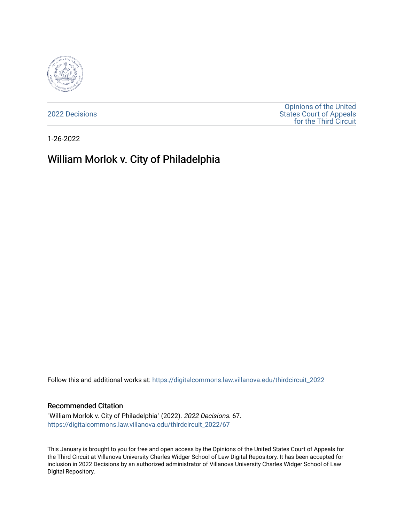

[2022 Decisions](https://digitalcommons.law.villanova.edu/thirdcircuit_2022)

[Opinions of the United](https://digitalcommons.law.villanova.edu/thirdcircuit)  [States Court of Appeals](https://digitalcommons.law.villanova.edu/thirdcircuit)  [for the Third Circuit](https://digitalcommons.law.villanova.edu/thirdcircuit) 

1-26-2022

# William Morlok v. City of Philadelphia

Follow this and additional works at: [https://digitalcommons.law.villanova.edu/thirdcircuit\\_2022](https://digitalcommons.law.villanova.edu/thirdcircuit_2022?utm_source=digitalcommons.law.villanova.edu%2Fthirdcircuit_2022%2F67&utm_medium=PDF&utm_campaign=PDFCoverPages) 

#### Recommended Citation

"William Morlok v. City of Philadelphia" (2022). 2022 Decisions. 67. [https://digitalcommons.law.villanova.edu/thirdcircuit\\_2022/67](https://digitalcommons.law.villanova.edu/thirdcircuit_2022/67?utm_source=digitalcommons.law.villanova.edu%2Fthirdcircuit_2022%2F67&utm_medium=PDF&utm_campaign=PDFCoverPages)

This January is brought to you for free and open access by the Opinions of the United States Court of Appeals for the Third Circuit at Villanova University Charles Widger School of Law Digital Repository. It has been accepted for inclusion in 2022 Decisions by an authorized administrator of Villanova University Charles Widger School of Law Digital Repository.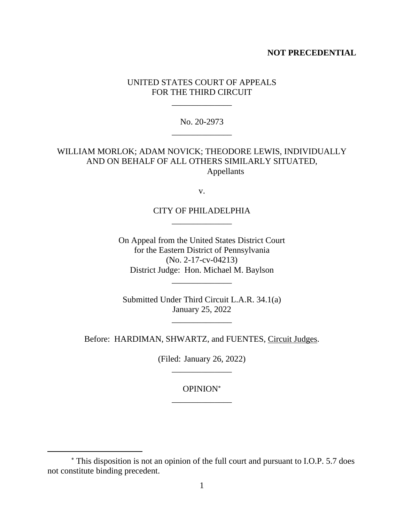## **NOT PRECEDENTIAL**

# UNITED STATES COURT OF APPEALS FOR THE THIRD CIRCUIT

\_\_\_\_\_\_\_\_\_\_\_\_\_\_

No. 20-2973 \_\_\_\_\_\_\_\_\_\_\_\_\_\_

WILLIAM MORLOK; ADAM NOVICK; THEODORE LEWIS, INDIVIDUALLY AND ON BEHALF OF ALL OTHERS SIMILARLY SITUATED, Appellants

v.

# CITY OF PHILADELPHIA \_\_\_\_\_\_\_\_\_\_\_\_\_\_

On Appeal from the United States District Court for the Eastern District of Pennsylvania (No. 2-17-cv-04213) District Judge: Hon. Michael M. Baylson

\_\_\_\_\_\_\_\_\_\_\_\_\_\_

Submitted Under Third Circuit L.A.R. 34.1(a) January 25, 2022

\_\_\_\_\_\_\_\_\_\_\_\_\_\_

Before: HARDIMAN, SHWARTZ, and FUENTES, Circuit Judges.

(Filed: January 26, 2022) \_\_\_\_\_\_\_\_\_\_\_\_\_\_

> OPINION \_\_\_\_\_\_\_\_\_\_\_\_\_\_

This disposition is not an opinion of the full court and pursuant to I.O.P. 5.7 does not constitute binding precedent.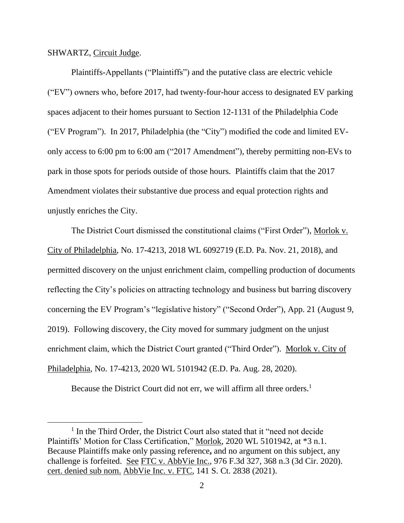#### SHWARTZ, Circuit Judge.

Plaintiffs-Appellants ("Plaintiffs") and the putative class are electric vehicle ("EV") owners who, before 2017, had twenty-four-hour access to designated EV parking spaces adjacent to their homes pursuant to Section 12-1131 of the Philadelphia Code ("EV Program"). In 2017, Philadelphia (the "City") modified the code and limited EVonly access to 6:00 pm to 6:00 am ("2017 Amendment"), thereby permitting non-EVs to park in those spots for periods outside of those hours. Plaintiffs claim that the 2017 Amendment violates their substantive due process and equal protection rights and unjustly enriches the City.

The District Court dismissed the constitutional claims ("First Order"), Morlok v. City of Philadelphia, No. 17-4213, 2018 WL 6092719 (E.D. Pa. Nov. 21, 2018), and permitted discovery on the unjust enrichment claim, compelling production of documents reflecting the City's policies on attracting technology and business but barring discovery concerning the EV Program's "legislative history" ("Second Order"), App. 21 (August 9, 2019). Following discovery, the City moved for summary judgment on the unjust enrichment claim, which the District Court granted ("Third Order"). Morlok v. City of Philadelphia, No. 17-4213, 2020 WL 5101942 (E.D. Pa. Aug. 28, 2020).

Because the District Court did not err, we will affirm all three orders.<sup>1</sup>

<sup>&</sup>lt;sup>1</sup> In the Third Order, the District Court also stated that it "need not decide Plaintiffs' Motion for Class Certification," Morlok, 2020 WL 5101942, at \*3 n.1. Because Plaintiffs make only passing reference**,** and no argument on this subject, any challenge is forfeited. See FTC v. AbbVie Inc., 976 F.3d 327, 368 n.3 (3d Cir. 2020). cert. denied sub nom. AbbVie Inc. v. FTC, 141 S. Ct. 2838 (2021).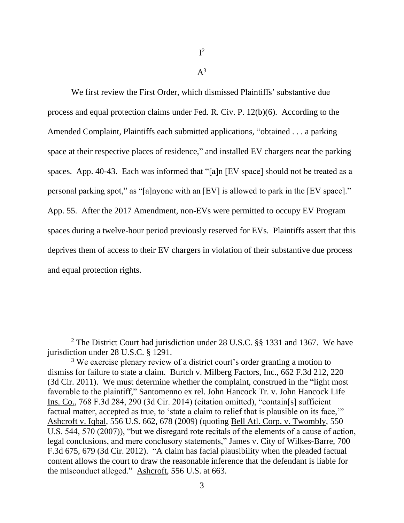$I^2$ 

 $A^3$ 

We first review the First Order, which dismissed Plaintiffs' substantive due process and equal protection claims under Fed. R. Civ. P. 12(b)(6). According to the Amended Complaint, Plaintiffs each submitted applications, "obtained . . . a parking space at their respective places of residence," and installed EV chargers near the parking spaces. App. 40-43. Each was informed that "[a]n [EV space] should not be treated as a personal parking spot," as "[a]nyone with an [EV] is allowed to park in the [EV space]." App. 55. After the 2017 Amendment, non-EVs were permitted to occupy EV Program spaces during a twelve-hour period previously reserved for EVs. Plaintiffs assert that this deprives them of access to their EV chargers in violation of their substantive due process and equal protection rights.

<sup>2</sup> The District Court had jurisdiction under 28 U.S.C. §§ 1331 and 1367. We have jurisdiction under 28 U.S.C. § 1291.

<sup>&</sup>lt;sup>3</sup> We exercise plenary review of a district court's order granting a motion to dismiss for failure to state a claim. Burtch v. Milberg Factors, Inc., 662 F.3d 212, 220 (3d Cir. 2011). We must determine whether the complaint, construed in the "light most favorable to the plaintiff," Santomenno ex rel. John Hancock Tr. v. John Hancock Life Ins. Co., 768 F.3d 284, 290 (3d Cir. 2014) (citation omitted), "contain[s] sufficient factual matter, accepted as true, to 'state a claim to relief that is plausible on its face," Ashcroft v. Iqbal, 556 U.S. 662, 678 (2009) (quoting Bell Atl. Corp. v. Twombly, 550 U.S. 544, 570 (2007)), "but we disregard rote recitals of the elements of a cause of action, legal conclusions, and mere conclusory statements," James v. City of Wilkes-Barre, 700 F.3d 675, 679 (3d Cir. 2012). "A claim has facial plausibility when the pleaded factual content allows the court to draw the reasonable inference that the defendant is liable for the misconduct alleged." Ashcroft, 556 U.S. at 663.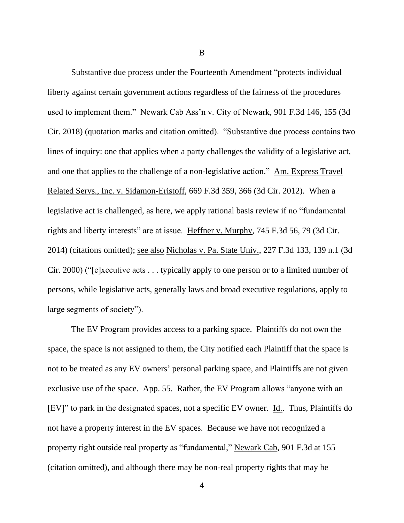Substantive due process under the Fourteenth Amendment "protects individual liberty against certain government actions regardless of the fairness of the procedures used to implement them." Newark Cab Ass'n v. City of Newark, 901 F.3d 146, 155 (3d Cir. 2018) (quotation marks and citation omitted). "Substantive due process contains two lines of inquiry: one that applies when a party challenges the validity of a legislative act, and one that applies to the challenge of a non-legislative action." Am. Express Travel Related Servs., Inc. v. Sidamon-Eristoff, 669 F.3d 359, 366 (3d Cir. 2012). When a legislative act is challenged, as here, we apply rational basis review if no "fundamental rights and liberty interests" are at issue. Heffner v. Murphy, 745 F.3d 56, 79 (3d Cir. 2014) (citations omitted); see also Nicholas v. Pa. State Univ., 227 F.3d 133, 139 n.1 (3d Cir. 2000) ("[e]xecutive acts . . . typically apply to one person or to a limited number of persons, while legislative acts, generally laws and broad executive regulations, apply to large segments of society").

The EV Program provides access to a parking space. Plaintiffs do not own the space, the space is not assigned to them, the City notified each Plaintiff that the space is not to be treated as any EV owners' personal parking space, and Plaintiffs are not given exclusive use of the space. App. 55. Rather, the EV Program allows "anyone with an [EV]" to park in the designated spaces, not a specific EV owner. Id.. Thus, Plaintiffs do not have a property interest in the EV spaces. Because we have not recognized a property right outside real property as "fundamental," Newark Cab, 901 F.3d at 155 (citation omitted), and although there may be non-real property rights that may be

4

B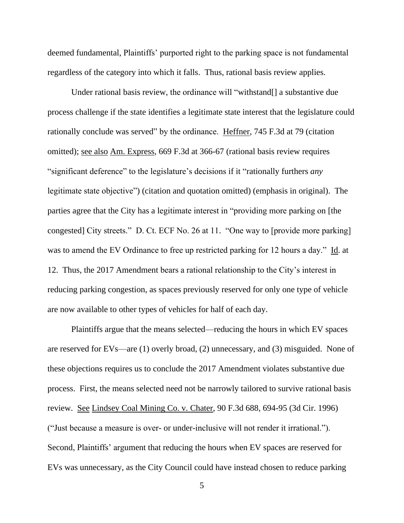deemed fundamental, Plaintiffs' purported right to the parking space is not fundamental regardless of the category into which it falls. Thus, rational basis review applies.

Under rational basis review, the ordinance will "withstand<sup>[]</sup> a substantive due process challenge if the state identifies a legitimate state interest that the legislature could rationally conclude was served" by the ordinance. Heffner, 745 F.3d at 79 (citation omitted); see also Am. Express, 669 F.3d at 366-67 (rational basis review requires "significant deference" to the legislature's decisions if it "rationally furthers *any*  legitimate state objective") (citation and quotation omitted) (emphasis in original). The parties agree that the City has a legitimate interest in "providing more parking on [the congested] City streets." D. Ct. ECF No. 26 at 11. "One way to [provide more parking] was to amend the EV Ordinance to free up restricted parking for 12 hours a day." Id. at 12. Thus, the 2017 Amendment bears a rational relationship to the City's interest in reducing parking congestion, as spaces previously reserved for only one type of vehicle are now available to other types of vehicles for half of each day.

Plaintiffs argue that the means selected—reducing the hours in which EV spaces are reserved for EVs—are (1) overly broad, (2) unnecessary, and (3) misguided. None of these objections requires us to conclude the 2017 Amendment violates substantive due process. First, the means selected need not be narrowly tailored to survive rational basis review. See Lindsey Coal Mining Co. v. Chater, 90 F.3d 688, 694-95 (3d Cir. 1996) ("Just because a measure is over- or under-inclusive will not render it irrational."). Second, Plaintiffs' argument that reducing the hours when EV spaces are reserved for EVs was unnecessary, as the City Council could have instead chosen to reduce parking

5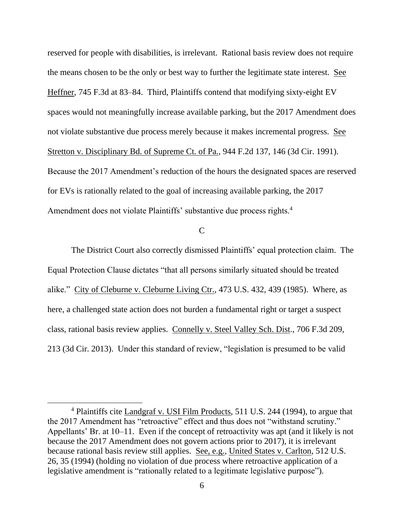reserved for people with disabilities, is irrelevant. Rational basis review does not require the means chosen to be the only or best way to further the legitimate state interest. See Heffner, 745 F.3d at 83–84. Third, Plaintiffs contend that modifying sixty-eight EV spaces would not meaningfully increase available parking, but the 2017 Amendment does not violate substantive due process merely because it makes incremental progress. See Stretton v. Disciplinary Bd. of Supreme Ct. of Pa., 944 F.2d 137, 146 (3d Cir. 1991). Because the 2017 Amendment's reduction of the hours the designated spaces are reserved for EVs is rationally related to the goal of increasing available parking, the 2017 Amendment does not violate Plaintiffs' substantive due process rights.<sup>4</sup>

 $\mathcal{C}$ 

The District Court also correctly dismissed Plaintiffs' equal protection claim. The Equal Protection Clause dictates "that all persons similarly situated should be treated alike." City of Cleburne v. Cleburne Living Ctr., 473 U.S. 432, 439 (1985). Where, as here, a challenged state action does not burden a fundamental right or target a suspect class, rational basis review applies. Connelly v. Steel Valley Sch. Dist., 706 F.3d 209, 213 (3d Cir. 2013). Under this standard of review, "legislation is presumed to be valid

<sup>4</sup> Plaintiffs cite Landgraf v. USI Film Products, 511 U.S. 244 (1994), to argue that the 2017 Amendment has "retroactive" effect and thus does not "withstand scrutiny." Appellants' Br. at 10–11. Even if the concept of retroactivity was apt (and it likely is not because the 2017 Amendment does not govern actions prior to 2017), it is irrelevant because rational basis review still applies. See, e.g., United States v. Carlton, 512 U.S. 26, 35 (1994) (holding no violation of due process where retroactive application of a legislative amendment is "rationally related to a legitimate legislative purpose").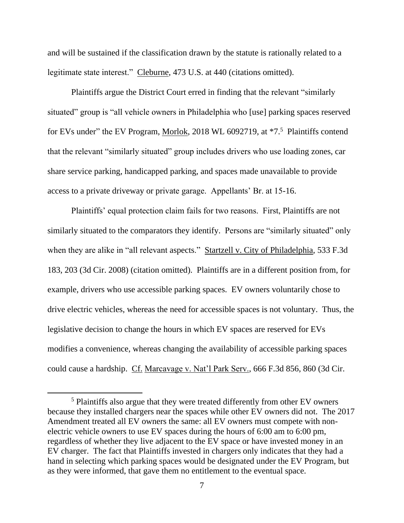and will be sustained if the classification drawn by the statute is rationally related to a legitimate state interest." Cleburne, 473 U.S. at 440 (citations omitted).

Plaintiffs argue the District Court erred in finding that the relevant "similarly situated" group is "all vehicle owners in Philadelphia who [use] parking spaces reserved for EVs under" the EV Program, Morlok, 2018 WL 6092719, at \*7.<sup>5</sup> Plaintiffs contend that the relevant "similarly situated" group includes drivers who use loading zones, car share service parking, handicapped parking, and spaces made unavailable to provide access to a private driveway or private garage. Appellants' Br. at 15-16.

Plaintiffs' equal protection claim fails for two reasons. First, Plaintiffs are not similarly situated to the comparators they identify. Persons are "similarly situated" only when they are alike in "all relevant aspects." Startzell v. City of Philadelphia, 533 F.3d 183, 203 (3d Cir. 2008) (citation omitted). Plaintiffs are in a different position from, for example, drivers who use accessible parking spaces. EV owners voluntarily chose to drive electric vehicles, whereas the need for accessible spaces is not voluntary. Thus, the legislative decision to change the hours in which EV spaces are reserved for EVs modifies a convenience, whereas changing the availability of accessible parking spaces could cause a hardship. Cf. Marcavage v. Nat'l Park Serv., 666 F.3d 856, 860 (3d Cir.

<sup>5</sup> Plaintiffs also argue that they were treated differently from other EV owners because they installed chargers near the spaces while other EV owners did not. The 2017 Amendment treated all EV owners the same: all EV owners must compete with nonelectric vehicle owners to use EV spaces during the hours of 6:00 am to 6:00 pm, regardless of whether they live adjacent to the EV space or have invested money in an EV charger. The fact that Plaintiffs invested in chargers only indicates that they had a hand in selecting which parking spaces would be designated under the EV Program, but as they were informed, that gave them no entitlement to the eventual space.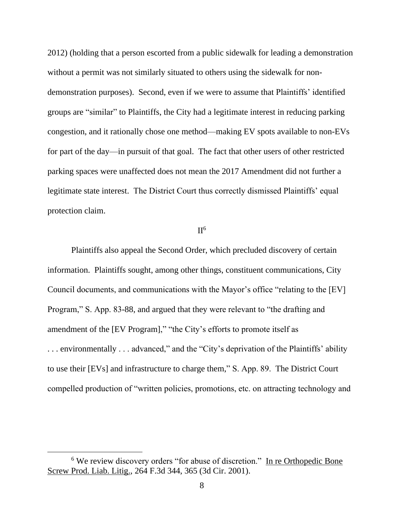2012) (holding that a person escorted from a public sidewalk for leading a demonstration without a permit was not similarly situated to others using the sidewalk for nondemonstration purposes). Second, even if we were to assume that Plaintiffs' identified groups are "similar" to Plaintiffs, the City had a legitimate interest in reducing parking congestion, and it rationally chose one method—making EV spots available to non-EVs for part of the day—in pursuit of that goal. The fact that other users of other restricted parking spaces were unaffected does not mean the 2017 Amendment did not further a legitimate state interest. The District Court thus correctly dismissed Plaintiffs' equal protection claim.

## $II<sup>6</sup>$

Plaintiffs also appeal the Second Order, which precluded discovery of certain information. Plaintiffs sought, among other things, constituent communications, City Council documents, and communications with the Mayor's office "relating to the [EV] Program," S. App. 83-88, and argued that they were relevant to "the drafting and amendment of the [EV Program]," "the City's efforts to promote itself as . . . environmentally . . . advanced," and the "City's deprivation of the Plaintiffs' ability to use their [EVs] and infrastructure to charge them," S. App. 89. The District Court compelled production of "written policies, promotions, etc. on attracting technology and

<sup>6</sup> We review discovery orders "for abuse of discretion." In re Orthopedic Bone Screw Prod. Liab. Litig., 264 F.3d 344, 365 (3d Cir. 2001).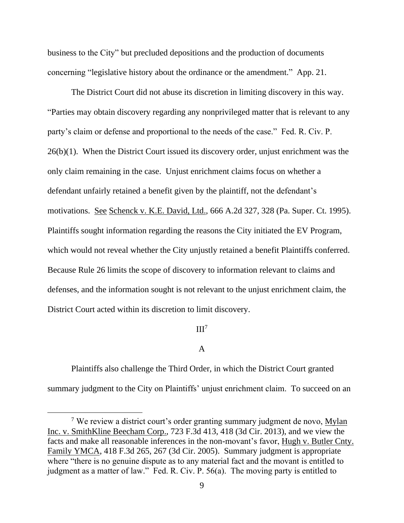business to the City" but precluded depositions and the production of documents concerning "legislative history about the ordinance or the amendment." App. 21.

The District Court did not abuse its discretion in limiting discovery in this way. "Parties may obtain discovery regarding any nonprivileged matter that is relevant to any party's claim or defense and proportional to the needs of the case." Fed. R. Civ. P. 26(b)(1). When the District Court issued its discovery order, unjust enrichment was the only claim remaining in the case. Unjust enrichment claims focus on whether a defendant unfairly retained a benefit given by the plaintiff, not the defendant's motivations. See Schenck v. K.E. David, Ltd., 666 A.2d 327, 328 (Pa. Super. Ct. 1995). Plaintiffs sought information regarding the reasons the City initiated the EV Program, which would not reveal whether the City unjustly retained a benefit Plaintiffs conferred. Because Rule 26 limits the scope of discovery to information relevant to claims and defenses, and the information sought is not relevant to the unjust enrichment claim, the District Court acted within its discretion to limit discovery.

### $III<sup>7</sup>$

## A

Plaintiffs also challenge the Third Order, in which the District Court granted summary judgment to the City on Plaintiffs' unjust enrichment claim. To succeed on an

<sup>&</sup>lt;sup>7</sup> We review a district court's order granting summary judgment de novo, Mylan Inc. v. SmithKline Beecham Corp., 723 F.3d 413, 418 (3d Cir. 2013), and we view the facts and make all reasonable inferences in the non-movant's favor, Hugh v. Butler Cnty. Family YMCA, 418 F.3d 265, 267 (3d Cir. 2005). Summary judgment is appropriate where "there is no genuine dispute as to any material fact and the movant is entitled to judgment as a matter of law." Fed. R. Civ. P. 56(a). The moving party is entitled to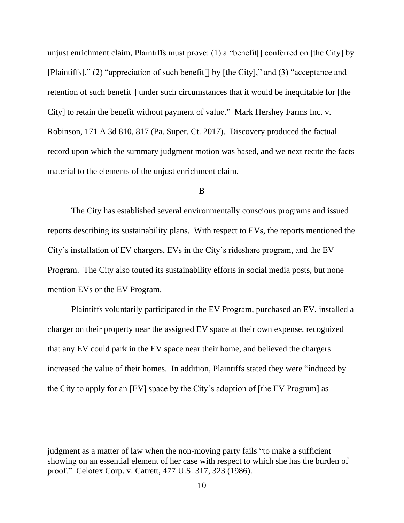unjust enrichment claim, Plaintiffs must prove: (1) a "benefit[] conferred on [the City] by [Plaintiffs]," (2) "appreciation of such benefit[] by [the City]," and (3) "acceptance and retention of such benefit[] under such circumstances that it would be inequitable for [the City] to retain the benefit without payment of value." Mark Hershey Farms Inc. v. Robinson, 171 A.3d 810, 817 (Pa. Super. Ct. 2017). Discovery produced the factual record upon which the summary judgment motion was based, and we next recite the facts material to the elements of the unjust enrichment claim.

#### B

The City has established several environmentally conscious programs and issued reports describing its sustainability plans. With respect to EVs, the reports mentioned the City's installation of EV chargers, EVs in the City's rideshare program, and the EV Program. The City also touted its sustainability efforts in social media posts, but none mention EVs or the EV Program.

Plaintiffs voluntarily participated in the EV Program, purchased an EV, installed a charger on their property near the assigned EV space at their own expense, recognized that any EV could park in the EV space near their home, and believed the chargers increased the value of their homes. In addition, Plaintiffs stated they were "induced by the City to apply for an [EV] space by the City's adoption of [the EV Program] as

judgment as a matter of law when the non-moving party fails "to make a sufficient showing on an essential element of her case with respect to which she has the burden of proof." Celotex Corp. v. Catrett, 477 U.S. 317, 323 (1986).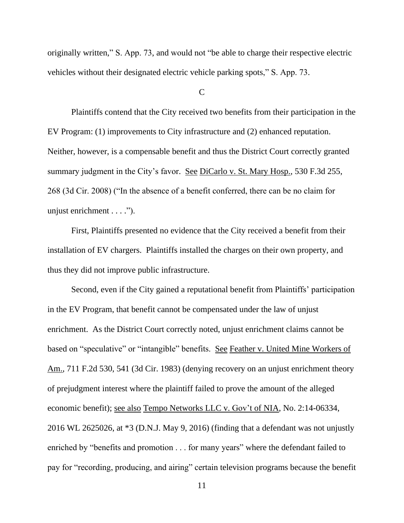originally written," S. App. 73, and would not "be able to charge their respective electric vehicles without their designated electric vehicle parking spots," S. App. 73.

 $\mathcal{C}$ 

Plaintiffs contend that the City received two benefits from their participation in the EV Program: (1) improvements to City infrastructure and (2) enhanced reputation. Neither, however, is a compensable benefit and thus the District Court correctly granted summary judgment in the City's favor. See DiCarlo v. St. Mary Hosp., 530 F.3d 255, 268 (3d Cir. 2008) ("In the absence of a benefit conferred, there can be no claim for unjust enrichment . . . .").

First, Plaintiffs presented no evidence that the City received a benefit from their installation of EV chargers. Plaintiffs installed the charges on their own property, and thus they did not improve public infrastructure.

Second, even if the City gained a reputational benefit from Plaintiffs' participation in the EV Program, that benefit cannot be compensated under the law of unjust enrichment. As the District Court correctly noted, unjust enrichment claims cannot be based on "speculative" or "intangible" benefits. See Feather v. United Mine Workers of Am., 711 F.2d 530, 541 (3d Cir. 1983) (denying recovery on an unjust enrichment theory of prejudgment interest where the plaintiff failed to prove the amount of the alleged economic benefit); see also Tempo Networks LLC v. Gov't of NIA, No. 2:14-06334, 2016 WL 2625026, at \*3 (D.N.J. May 9, 2016) (finding that a defendant was not unjustly enriched by "benefits and promotion . . . for many years" where the defendant failed to pay for "recording, producing, and airing" certain television programs because the benefit

11